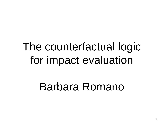## The counterfactual logic for impact evaluation

## Barbara Romano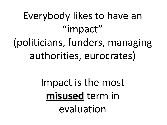## Everybody likes to have an "impact" (politicians, funders, managing authorities, eurocrates)

## Impact is the most **misused** term in evaluation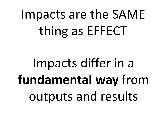# Impacts are the SAME thing as EFFECT

Impacts differ in a **fundamental way** from outputs and results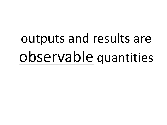# outputs and results are observable quantities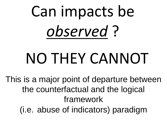# Can impacts be *observed* ?

# NO THEY CANNOT

This is a major point of departure between the counterfactual and the logical framework (i.e. abuse of indicators) paradigm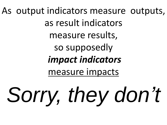As output indicators measure outputs, as result indicators measure results, so supposedly *impact indicators*  measure impacts

# *Sorry, they don't*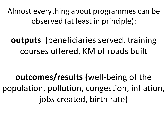Almost everything about programmes can be observed (at least in principle):

#### **outputs** (beneficiaries served, training courses offered, KM of roads built

**outcomes/results (**well-being of the population, pollution, congestion, inflation, jobs created, birth rate)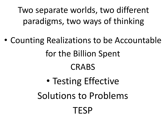Two separate worlds, two different paradigms, two ways of thinking

- Counting Realizations to be Accountable for the Billion Spent **CRABS** 
	- Testing Effective Solutions to Problems TESP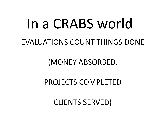## In a CRABS world EVALUATIONS COUNT THINGS DONE

(MONEY ABSORBED,

PROJECTS COMPLETED

CLIENTS SERVED)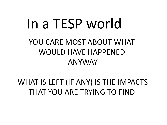## In a TESP world

#### YOU CARE MOST ABOUT WHAT WOULD HAVE HAPPENED ANYWAY

WHAT IS LEFT (IF ANY) IS THE IMPACTS THAT YOU ARE TRYING TO FIND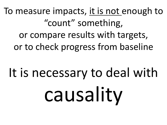To measure impacts, it is not enough to "count" something, or compare results with targets, or to check progress from baseline

# It is necessary to deal with causality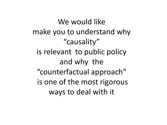We would like make you to understand why "causality" is relevant to public policy and why the "counterfactual approach" is one of the most rigorous ways to deal with it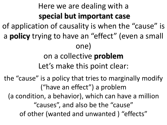#### Here we are dealing with a **special but important case**

of application of causality is when the "cause" is a **policy** trying to have an "effect" (even a small one) on a collective **problem**

Let's make this point clear:

the "cause" is a policy that tries to marginally modify ("have an effect") a problem (a condition, a behavior), which can have a million "causes", and also be the "cause" of other (wanted and unwanted ) "effects"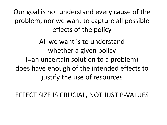Our goal is not understand every cause of the problem, nor we want to capture all possible effects of the policy

All we want is to understand whether a given policy (=an uncertain solution to a problem) does have enough of the intended effects to justify the use of resources

EFFECT SIZE IS CRUCIAL, NOT JUST P-VALUES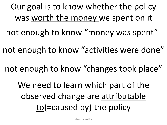Our goal is to know whether the policy was worth the money we spent on it We need to learn which part of the observed change are attributable to(=caused by) the policy not enough to know "money was spent" not enough to know "activities were done" not enough to know "changes took place"

chess causality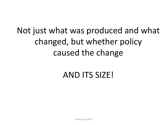#### Not just what was produced and what changed, but whether policy caused the change

#### AND ITS SIZE!

chess causality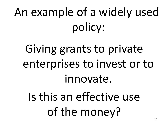## An example of a widely used policy:

# Giving grants to private enterprises to invest or to innovate. Is this an effective use of the money?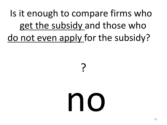Is it enough to compare firms who get the subsidy and those who do not even apply for the subsidy?



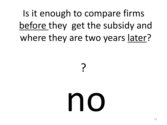Is it enough to compare firms before they get the subsidy and where they are two years later?



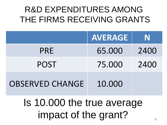#### R&D EXPENDITURES AMONG THE FIRMS RECEIVING GRANTS

|                        | <b>AVERAGE</b> | N    |
|------------------------|----------------|------|
| <b>PRE</b>             | 65.000         | 2400 |
| <b>POST</b>            | 75.000         | 2400 |
| <b>OBSERVED CHANGE</b> | 10.000         |      |

Is 10.000 the true average impact of the grant?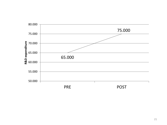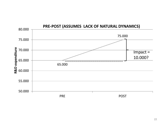

22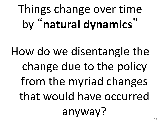# Things change over time by "**natural dynamics**"

How do we disentangle the change due to the policy from the myriad changes that would have occurred anyway?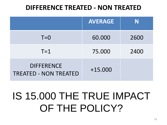#### **DIFFERENCE TREATED - NON TREATED**

|                                                   | <b>AVERAGE</b> | N    |
|---------------------------------------------------|----------------|------|
| $T=0$                                             | 60.000         | 2600 |
| $T=1$                                             | 75.000         | 2400 |
| <b>DIFFERENCE</b><br><b>TREATED - NON TREATED</b> | $+15.000$      |      |

## IS 15.000 THE TRUE IMPACT OF THE POLICY?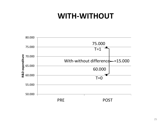#### **WITH-WITHOUT**

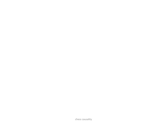chess causality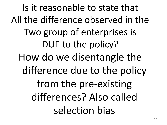Is it reasonable to state that All the difference observed in the Two group of enterprises is DUE to the policy? How do we disentangle the difference due to the policy from the pre-existing differences? Also called selection bias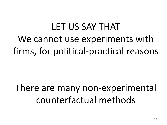### LET US SAY THAT We cannot use experiments with firms, for political-practical reasons

### There are many non-experimental counterfactual methods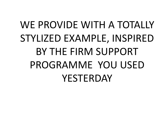## WE PROVIDE WITH A TOTALLY STYLIZED EXAMPLE, INSPIRED BY THE FIRM SUPPORT PROGRAMME YOU USED YESTERDAY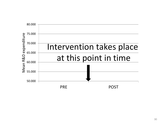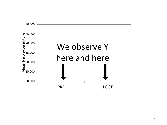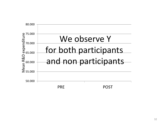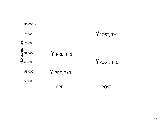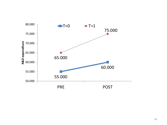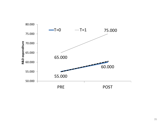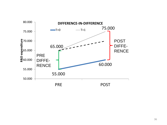